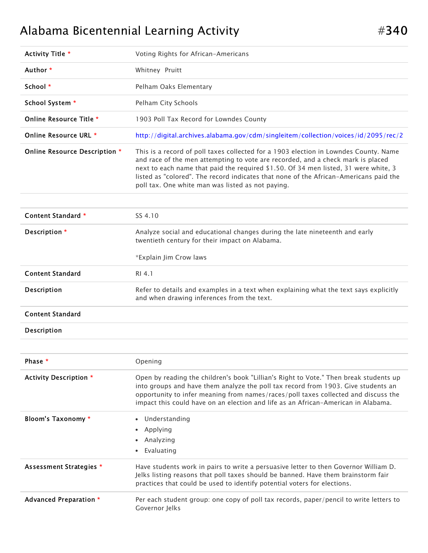## Alabama Bicentennial Learning Activity  $\#340$

| Activity Title *              | Voting Rights for African-Americans                                                                                                                                                                                                                                                                                                                                                                          |  |
|-------------------------------|--------------------------------------------------------------------------------------------------------------------------------------------------------------------------------------------------------------------------------------------------------------------------------------------------------------------------------------------------------------------------------------------------------------|--|
| Author *                      | Whitney Pruitt                                                                                                                                                                                                                                                                                                                                                                                               |  |
| School *                      | Pelham Oaks Elementary                                                                                                                                                                                                                                                                                                                                                                                       |  |
| School System *               | Pelham City Schools                                                                                                                                                                                                                                                                                                                                                                                          |  |
| Online Resource Title *       | 1903 Poll Tax Record for Lowndes County                                                                                                                                                                                                                                                                                                                                                                      |  |
| Online Resource URL *         | http://digital.archives.alabama.gov/cdm/singleitem/collection/voices/id/2095/rec/2                                                                                                                                                                                                                                                                                                                           |  |
| Online Resource Description * | This is a record of poll taxes collected for a 1903 election in Lowndes County. Name<br>and race of the men attempting to vote are recorded, and a check mark is placed<br>next to each name that paid the required \$1.50. Of 34 men listed, 31 were white, 3<br>listed as "colored". The record indicates that none of the African-Americans paid the<br>poll tax. One white man was listed as not paying. |  |
| Content Standard *            | SS 4.10                                                                                                                                                                                                                                                                                                                                                                                                      |  |
|                               |                                                                                                                                                                                                                                                                                                                                                                                                              |  |
| Description *                 | Analyze social and educational changes during the late nineteenth and early<br>twentieth century for their impact on Alabama.                                                                                                                                                                                                                                                                                |  |
|                               | *Explain Jim Crow laws                                                                                                                                                                                                                                                                                                                                                                                       |  |
| <b>Content Standard</b>       | RI 4.1                                                                                                                                                                                                                                                                                                                                                                                                       |  |
|                               |                                                                                                                                                                                                                                                                                                                                                                                                              |  |
| Description                   | Refer to details and examples in a text when explaining what the text says explicitly<br>and when drawing inferences from the text.                                                                                                                                                                                                                                                                          |  |
| <b>Content Standard</b>       |                                                                                                                                                                                                                                                                                                                                                                                                              |  |
| Description                   |                                                                                                                                                                                                                                                                                                                                                                                                              |  |
|                               |                                                                                                                                                                                                                                                                                                                                                                                                              |  |
| Phase *                       | Opening                                                                                                                                                                                                                                                                                                                                                                                                      |  |
| <b>Activity Description *</b> | Open by reading the children's book "Lillian's Right to Vote." Then break students up<br>into groups and have them analyze the poll tax record from 1903. Give students an<br>opportunity to infer meaning from names/races/poll taxes collected and discuss the<br>impact this could have on an election and life as an African-American in Alabama.                                                        |  |
| Bloom's Taxonomy *            | Understanding                                                                                                                                                                                                                                                                                                                                                                                                |  |
|                               | Applying<br>٠                                                                                                                                                                                                                                                                                                                                                                                                |  |
|                               | Analyzing<br>٠                                                                                                                                                                                                                                                                                                                                                                                               |  |
|                               | Evaluating                                                                                                                                                                                                                                                                                                                                                                                                   |  |
| Assessment Strategies *       | Have students work in pairs to write a persuasive letter to then Governor William D.<br>Jelks listing reasons that poll taxes should be banned. Have them brainstorm fair<br>practices that could be used to identify potential voters for elections.                                                                                                                                                        |  |